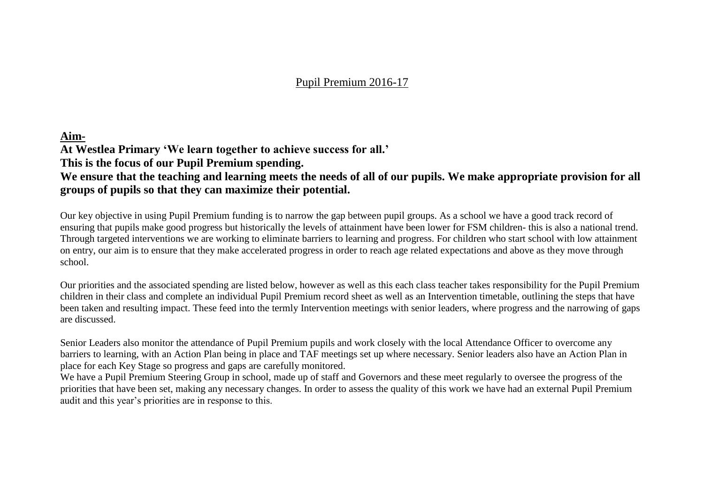#### Pupil Premium 2016-17

#### **Aim-**

**At Westlea Primary 'We learn together to achieve success for all.'**

**This is the focus of our Pupil Premium spending.**

#### **We ensure that the teaching and learning meets the needs of all of our pupils. We make appropriate provision for all groups of pupils so that they can maximize their potential.**

Our key objective in using Pupil Premium funding is to narrow the gap between pupil groups. As a school we have a good track record of ensuring that pupils make good progress but historically the levels of attainment have been lower for FSM children- this is also a national trend. Through targeted interventions we are working to eliminate barriers to learning and progress. For children who start school with low attainment on entry, our aim is to ensure that they make accelerated progress in order to reach age related expectations and above as they move through school.

Our priorities and the associated spending are listed below, however as well as this each class teacher takes responsibility for the Pupil Premium children in their class and complete an individual Pupil Premium record sheet as well as an Intervention timetable, outlining the steps that have been taken and resulting impact. These feed into the termly Intervention meetings with senior leaders, where progress and the narrowing of gaps are discussed.

Senior Leaders also monitor the attendance of Pupil Premium pupils and work closely with the local Attendance Officer to overcome any barriers to learning, with an Action Plan being in place and TAF meetings set up where necessary. Senior leaders also have an Action Plan in place for each Key Stage so progress and gaps are carefully monitored.

We have a Pupil Premium Steering Group in school, made up of staff and Governors and these meet regularly to oversee the progress of the priorities that have been set, making any necessary changes. In order to assess the quality of this work we have had an external Pupil Premium audit and this year's priorities are in response to this.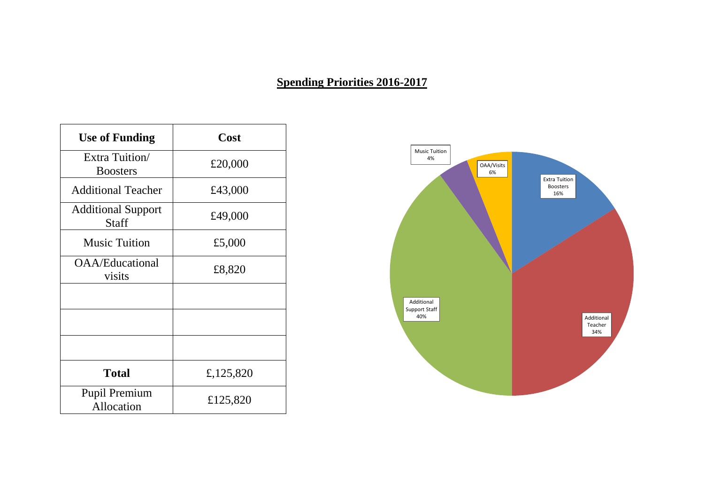### **Spending Priorities 2016-2017**

| <b>Use of Funding</b>              | Cost      |
|------------------------------------|-----------|
| Extra Tuition/<br><b>Boosters</b>  | £20,000   |
| <b>Additional Teacher</b>          | £43,000   |
| <b>Additional Support</b><br>Staff | £49,000   |
| <b>Music Tuition</b>               | £5,000    |
| OAA/Educational<br>visits          | £8,820    |
|                                    |           |
|                                    |           |
|                                    |           |
| <b>Total</b>                       | £,125,820 |
| <b>Pupil Premium</b><br>Allocation | £125,820  |

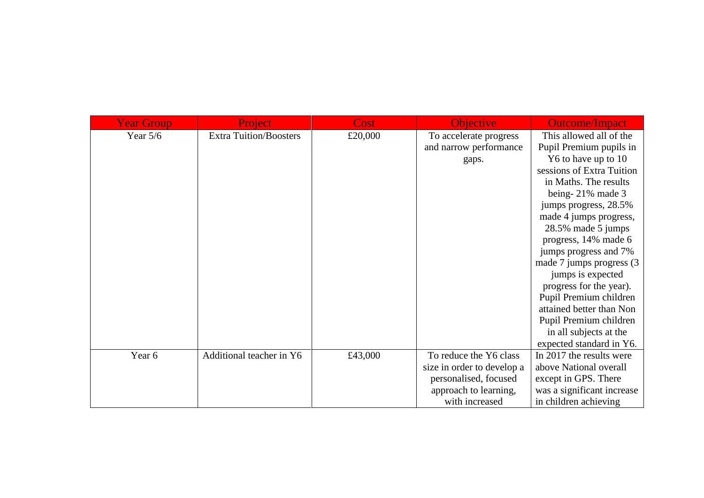| <b>Year Group</b> | Project                       | <b>Cost</b> | <b>Objective</b>           | <b>Outcome/Impact</b>      |
|-------------------|-------------------------------|-------------|----------------------------|----------------------------|
| Year $5/6$        | <b>Extra Tuition/Boosters</b> | £20,000     | To accelerate progress     | This allowed all of the    |
|                   |                               |             | and narrow performance     | Pupil Premium pupils in    |
|                   |                               |             | gaps.                      | Y6 to have up to 10        |
|                   |                               |             |                            | sessions of Extra Tuition  |
|                   |                               |             |                            | in Maths. The results      |
|                   |                               |             |                            | being-21% made 3           |
|                   |                               |             |                            | jumps progress, 28.5%      |
|                   |                               |             |                            | made 4 jumps progress,     |
|                   |                               |             |                            | 28.5% made 5 jumps         |
|                   |                               |             |                            | progress, 14% made 6       |
|                   |                               |             |                            | jumps progress and 7%      |
|                   |                               |             |                            | made 7 jumps progress (3)  |
|                   |                               |             |                            | jumps is expected          |
|                   |                               |             |                            | progress for the year).    |
|                   |                               |             |                            | Pupil Premium children     |
|                   |                               |             |                            | attained better than Non   |
|                   |                               |             |                            | Pupil Premium children     |
|                   |                               |             |                            | in all subjects at the     |
|                   |                               |             |                            | expected standard in Y6.   |
| Year 6            | Additional teacher in Y6      | £43,000     | To reduce the Y6 class     | In 2017 the results were   |
|                   |                               |             | size in order to develop a | above National overall     |
|                   |                               |             | personalised, focused      | except in GPS. There       |
|                   |                               |             | approach to learning,      | was a significant increase |
|                   |                               |             | with increased             | in children achieving      |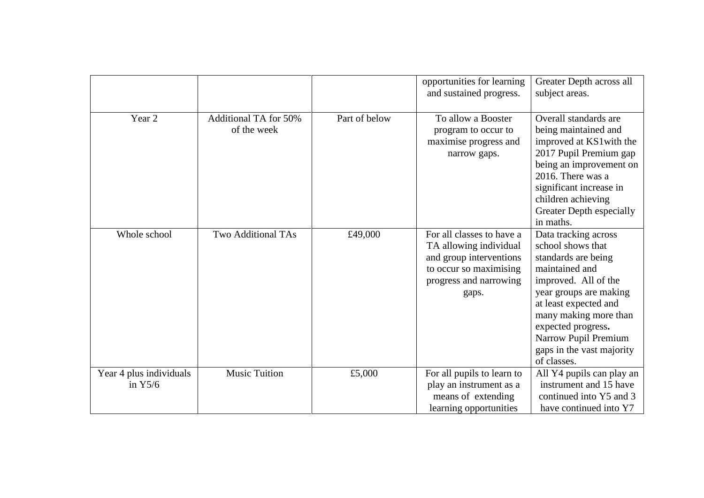|                                      |                              |               | opportunities for learning                            | Greater Depth across all                            |
|--------------------------------------|------------------------------|---------------|-------------------------------------------------------|-----------------------------------------------------|
|                                      |                              |               | and sustained progress.                               | subject areas.                                      |
|                                      |                              |               |                                                       |                                                     |
| Year 2                               | <b>Additional TA for 50%</b> | Part of below | To allow a Booster                                    | Overall standards are                               |
|                                      | of the week                  |               | program to occur to                                   | being maintained and                                |
|                                      |                              |               | maximise progress and                                 | improved at KS1 with the                            |
|                                      |                              |               | narrow gaps.                                          | 2017 Pupil Premium gap                              |
|                                      |                              |               |                                                       | being an improvement on                             |
|                                      |                              |               |                                                       | 2016. There was a                                   |
|                                      |                              |               |                                                       | significant increase in                             |
|                                      |                              |               |                                                       | children achieving                                  |
|                                      |                              |               |                                                       | Greater Depth especially                            |
|                                      |                              |               |                                                       | in maths.                                           |
| Whole school                         | <b>Two Additional TAs</b>    | £49,000       | For all classes to have a                             | Data tracking across                                |
|                                      |                              |               | TA allowing individual                                | school shows that                                   |
|                                      |                              |               | and group interventions                               | standards are being                                 |
|                                      |                              |               | to occur so maximising                                | maintained and                                      |
|                                      |                              |               | progress and narrowing                                | improved. All of the                                |
|                                      |                              |               | gaps.                                                 | year groups are making                              |
|                                      |                              |               |                                                       | at least expected and                               |
|                                      |                              |               |                                                       | many making more than                               |
|                                      |                              |               |                                                       | expected progress.                                  |
|                                      |                              |               |                                                       | Narrow Pupil Premium<br>gaps in the vast majority   |
|                                      |                              |               |                                                       | of classes.                                         |
|                                      | <b>Music Tuition</b>         | £5,000        |                                                       |                                                     |
| Year 4 plus individuals<br>in $Y5/6$ |                              |               | For all pupils to learn to<br>play an instrument as a | All Y4 pupils can play an<br>instrument and 15 have |
|                                      |                              |               | means of extending                                    | continued into Y5 and 3                             |
|                                      |                              |               | learning opportunities                                | have continued into Y7                              |
|                                      |                              |               |                                                       |                                                     |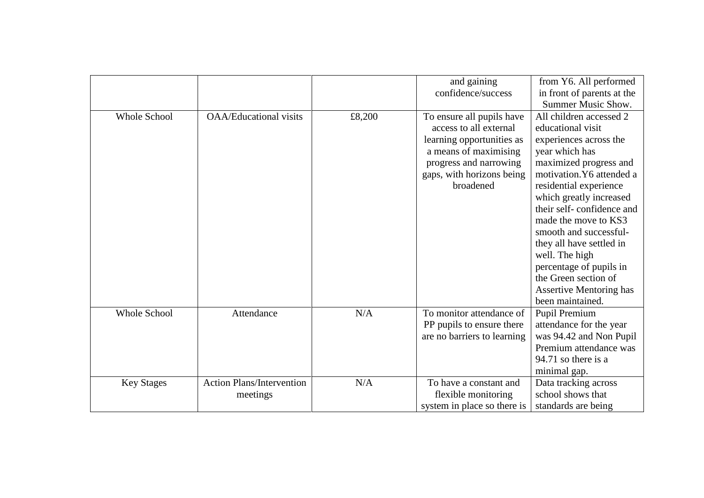|                     |                                  |        | and gaining                 | from Y6. All performed         |
|---------------------|----------------------------------|--------|-----------------------------|--------------------------------|
|                     |                                  |        | confidence/success          | in front of parents at the     |
|                     |                                  |        |                             | <b>Summer Music Show.</b>      |
| <b>Whole School</b> | <b>OAA/Educational visits</b>    | £8,200 | To ensure all pupils have   | All children accessed 2        |
|                     |                                  |        | access to all external      | educational visit              |
|                     |                                  |        | learning opportunities as   | experiences across the         |
|                     |                                  |        | a means of maximising       | year which has                 |
|                     |                                  |        | progress and narrowing      | maximized progress and         |
|                     |                                  |        | gaps, with horizons being   | motivation. Y6 attended a      |
|                     |                                  |        | broadened                   | residential experience         |
|                     |                                  |        |                             | which greatly increased        |
|                     |                                  |        |                             | their self-confidence and      |
|                     |                                  |        |                             | made the move to KS3           |
|                     |                                  |        |                             | smooth and successful-         |
|                     |                                  |        |                             | they all have settled in       |
|                     |                                  |        |                             | well. The high                 |
|                     |                                  |        |                             | percentage of pupils in        |
|                     |                                  |        |                             | the Green section of           |
|                     |                                  |        |                             | <b>Assertive Mentoring has</b> |
|                     |                                  |        |                             | been maintained.               |
| <b>Whole School</b> | Attendance                       | N/A    | To monitor attendance of    | <b>Pupil Premium</b>           |
|                     |                                  |        | PP pupils to ensure there   | attendance for the year        |
|                     |                                  |        | are no barriers to learning | was 94.42 and Non Pupil        |
|                     |                                  |        |                             | Premium attendance was         |
|                     |                                  |        |                             | 94.71 so there is a            |
|                     |                                  |        |                             | minimal gap.                   |
| <b>Key Stages</b>   | <b>Action Plans/Intervention</b> | N/A    | To have a constant and      | Data tracking across           |
|                     | meetings                         |        | flexible monitoring         | school shows that              |
|                     |                                  |        | system in place so there is | standards are being            |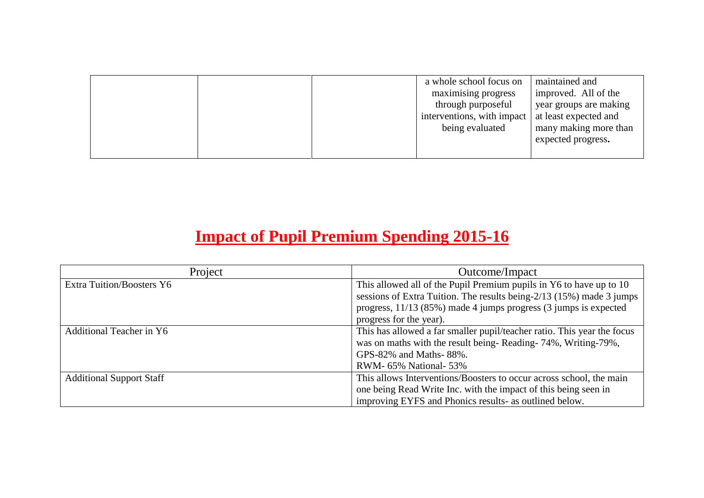|  | a whole school focus on                            | maintained and         |
|--|----------------------------------------------------|------------------------|
|  | maximising progress                                | improved. All of the   |
|  | through purposeful                                 | year groups are making |
|  | interventions, with impact   at least expected and |                        |
|  | being evaluated                                    | many making more than  |
|  |                                                    | expected progress.     |
|  |                                                    |                        |

# **Impact of Pupil Premium Spending 2015-16**

| Project                          | Outcome/Impact                                                          |  |
|----------------------------------|-------------------------------------------------------------------------|--|
| <b>Extra Tuition/Boosters Y6</b> | This allowed all of the Pupil Premium pupils in Y6 to have up to 10     |  |
|                                  | sessions of Extra Tuition. The results being- $2/13$ (15%) made 3 jumps |  |
|                                  | progress, $11/13$ (85%) made 4 jumps progress (3 jumps is expected      |  |
|                                  | progress for the year).                                                 |  |
| <b>Additional Teacher in Y6</b>  | This has allowed a far smaller pupil/teacher ratio. This year the focus |  |
|                                  | was on maths with the result being-Reading-74%, Writing-79%,            |  |
|                                  | GPS-82% and Maths-88%.                                                  |  |
|                                  | RWM- 65% National- 53%                                                  |  |
| <b>Additional Support Staff</b>  | This allows Interventions/Boosters to occur across school, the main     |  |
|                                  | one being Read Write Inc. with the impact of this being seen in         |  |
|                                  | improving EYFS and Phonics results- as outlined below.                  |  |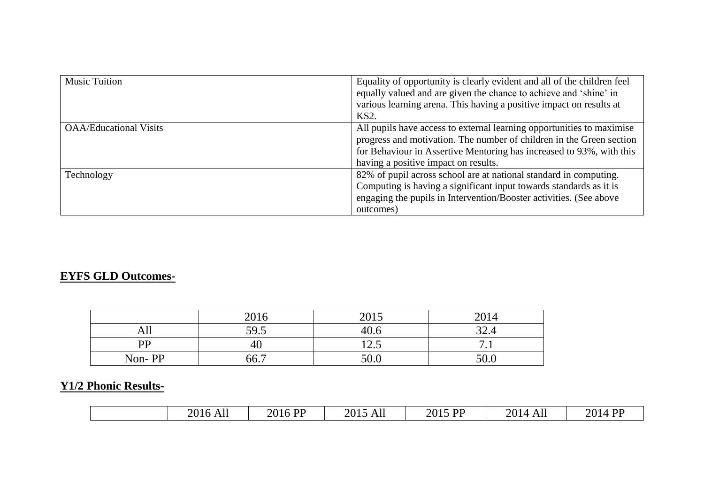| <b>Music Tuition</b>          | Equality of opportunity is clearly evident and all of the children feel<br>equally valued and are given the chance to achieve and 'shine' in<br>various learning arena. This having a positive impact on results at<br>KS2.                                   |  |
|-------------------------------|---------------------------------------------------------------------------------------------------------------------------------------------------------------------------------------------------------------------------------------------------------------|--|
| <b>OAA/Educational Visits</b> | All pupils have access to external learning opportunities to maximise<br>progress and motivation. The number of children in the Green section<br>for Behaviour in Assertive Mentoring has increased to 93%, with this<br>having a positive impact on results. |  |
| Technology                    | 82% of pupil across school are at national standard in computing.<br>Computing is having a significant input towards standards as it is<br>engaging the pupils in Intervention/Booster activities. (See above<br>outcomes)                                    |  |

### **EYFS GLD Outcomes-**

|           | 2016 | $\bigcap$ 1 $\tau$<br>201J | $\Omega$ <sup>1</sup> |
|-----------|------|----------------------------|-----------------------|
| All       | 59.5 | 40.6                       | n n<br>+…∠ر           |
| <b>PP</b> | 40   | $\sim$<br>14.J             | -<br>.                |
| Non-PP    | 66.7 | 50.0                       | 50.0                  |

# **Y1/2 Phonic Results-**

| 2016 All  | 2014    |
|-----------|---------|
| $\leq$ DD | 2015 PP |
| 2015      | $4$ DD  |
| 2016 PF   | 2014    |
| All       | All     |
|           |         |
|           |         |
|           |         |
|           |         |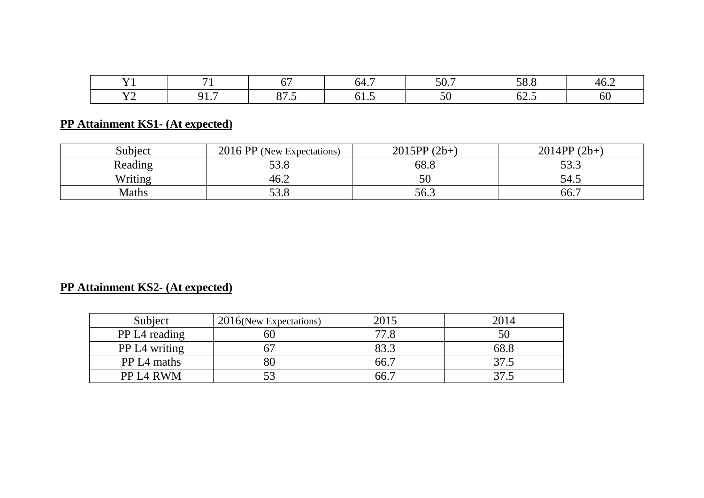|       |          |              | hД | $\sim$<br>J v., | E O<br>0.1  | Дr<br>$\mathbf{v} \cdot \mathbf{A}$ |
|-------|----------|--------------|----|-----------------|-------------|-------------------------------------|
| - - - | ገ 1<br>. | 07c<br>ت. رن |    |                 | - -<br>∪∠.J | <b>OU</b>                           |

# **PP Attainment KS1- (At expected)**

| Subject | 2016 PP (New Expectations) | $2015PP(2b+)$ | $2014PP(2b+)$ |
|---------|----------------------------|---------------|---------------|
| Reading | 500<br>99.O                | 68.8          | 522<br>JJ.J   |
| Writing | 46.2                       | 50            | 54.5          |
| Maths   | ە د<br>JJ.O                | 56.3          | 66.7          |

# **PP Attainment KS2- (At expected)**

| Subject                 | $2016$ (New Expectations) | 2015 | 2014            |
|-------------------------|---------------------------|------|-----------------|
| PP L4 reading           | 60                        | 77.8 |                 |
| <b>PP L4 writing</b>    |                           | 83.3 | 68.8            |
| PP L <sub>4</sub> maths | 80                        | 66.7 | 37.5            |
| PP L4 RWM               | 53                        | 66.7 | 37 <sub>1</sub> |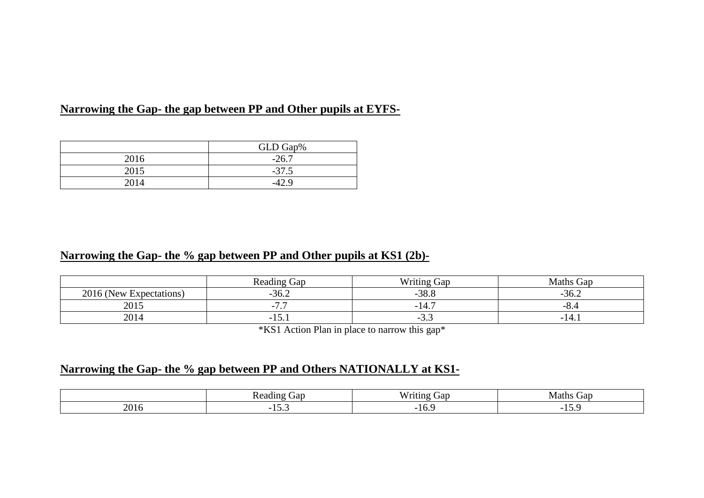### **Narrowing the Gap- the gap between PP and Other pupils at EYFS-**

|      | GLD Gap% |  |
|------|----------|--|
| 2016 | $-26.7$  |  |
| 2015 | $-37.5$  |  |
|      |          |  |

### **Narrowing the Gap- the % gap between PP and Other pupils at KS1 (2b)-**

|                         | <b>Reading Gap</b> | <b>Writing Gap</b>           | <b>Maths Gap</b>               |
|-------------------------|--------------------|------------------------------|--------------------------------|
| 2016 (New Expectations) | $-36.2$            | $-38.8$                      |                                |
| 2015                    | $\sim$ $\sim$<br>. | -14.                         | $\overline{\phantom{0}}$<br>v. |
| 2014                    | - 1<br>$1 \cup 1$  | $\overline{\phantom{0}}$<br> | - 1                            |

\*KS1 Action Plan in place to narrow this gap\*

### **Narrowing the Gap- the % gap between PP and Others NATIONALLY at KS1-**

| Jat<br>а |           | <br>. rar<br>1 U.H.I | Maths<br>Gap |  |
|----------|-----------|----------------------|--------------|--|
| റല       | $\ddotsc$ | 10.7                 | $- - -$      |  |